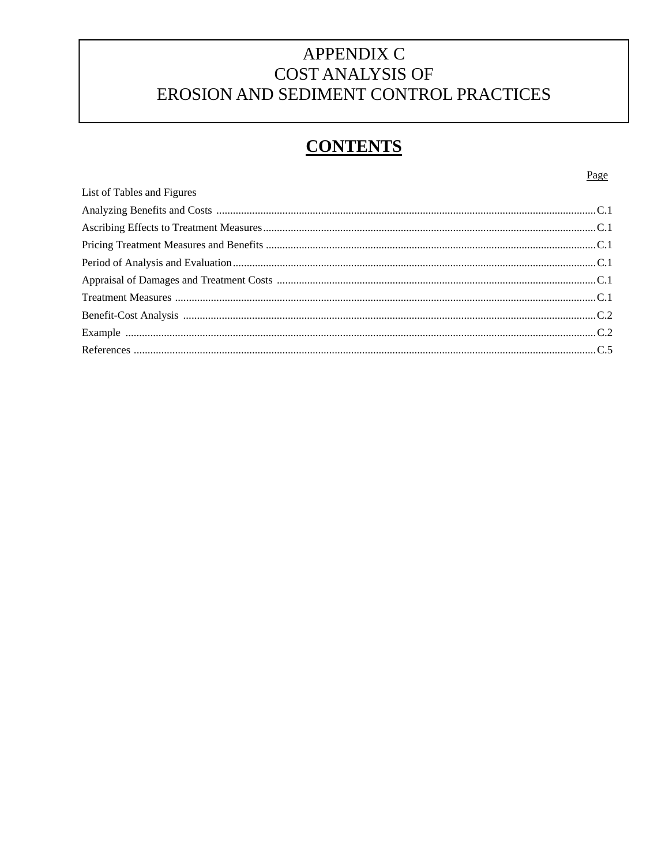## APPENDIX C **COST ANALYSIS OF** EROSION AND SEDIMENT CONTROL PRACTICES

## **CONTENTS**

Page

| List of Tables and Figures |  |
|----------------------------|--|
|                            |  |
|                            |  |
|                            |  |
|                            |  |
|                            |  |
|                            |  |
|                            |  |
|                            |  |
|                            |  |
|                            |  |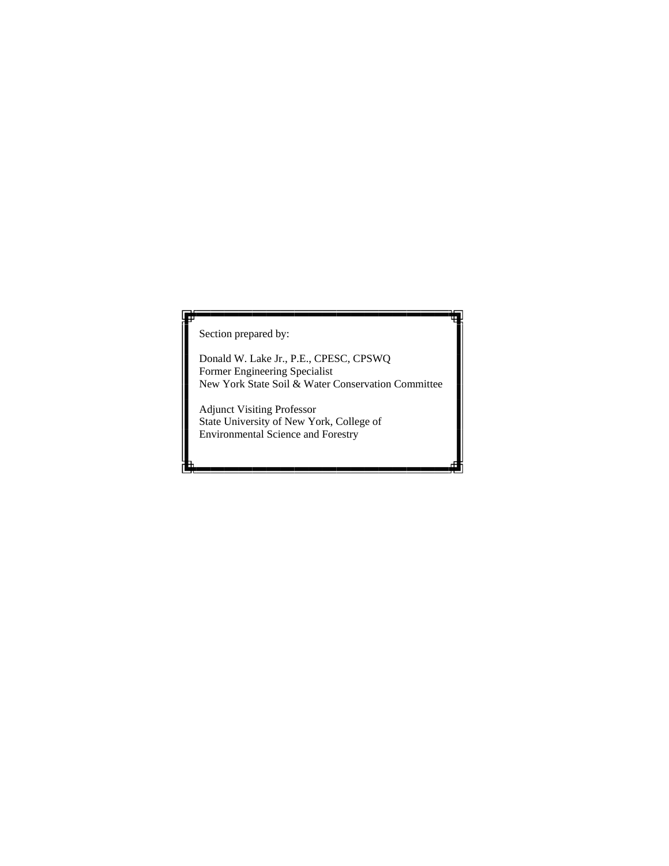#### Section prepared by:

 New York State Soil & Water Conservation Committee Donald W. Lake Jr., P.E., CPESC, CPSWQ Former Engineering Specialist

 $\ddot{\phantom{a}}$ Adjunct Visiting Professor State University of New York, College of Environmental Science and Forestry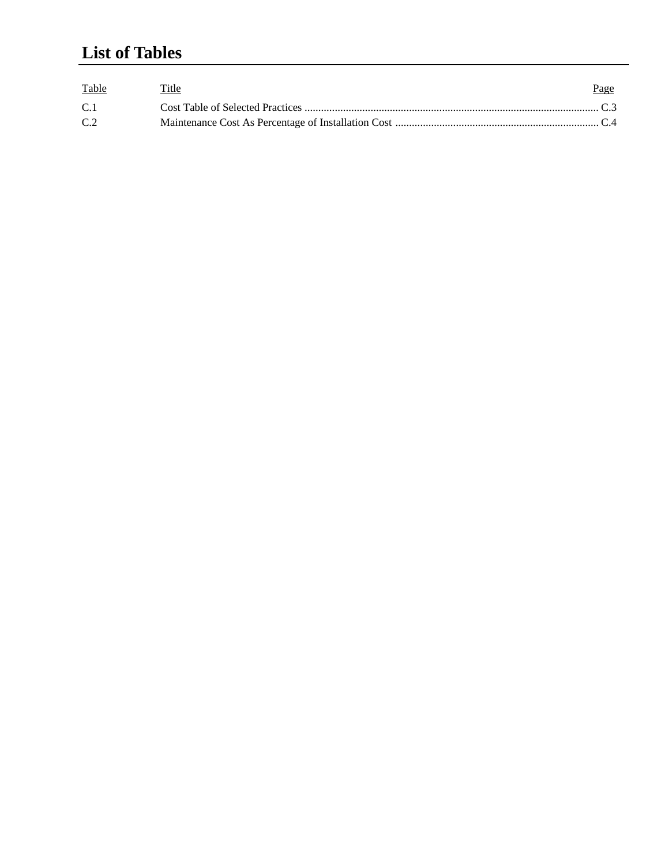# **List of Tables**

| <b>Table</b>   | <u>Title</u> | <u>Page</u> |
|----------------|--------------|-------------|
| C <sub>1</sub> |              |             |
| C.2            |              |             |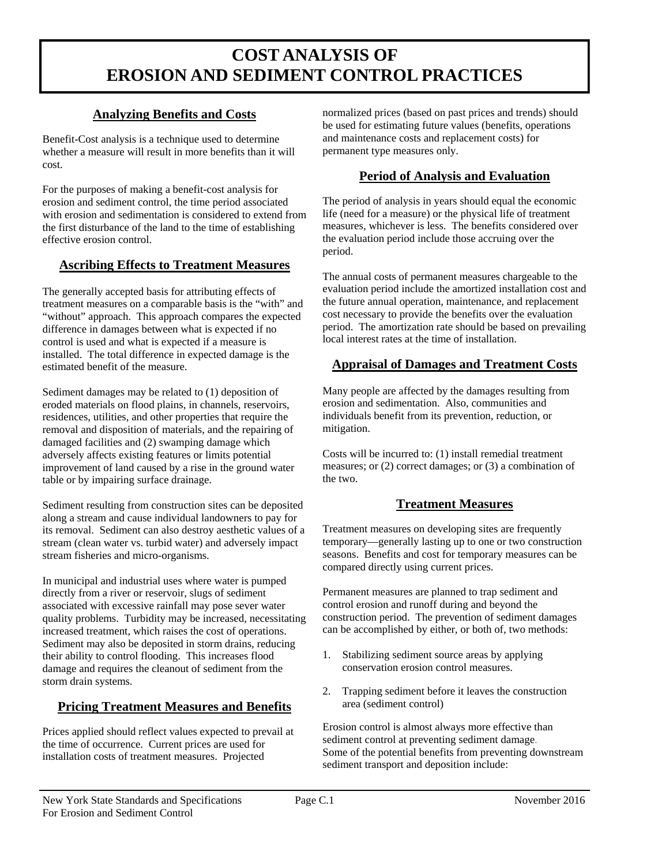## **EROSION AND SEDIMENT CONTROL PRACTICES**

#### **Analyzing Benefits and Costs**

Benefit-Cost analysis is a technique used to determine whether a measure will result in more benefits than it will cost.

For the purposes of making a benefit-cost analysis for erosion and sediment control, the time period associated with erosion and sedimentation is considered to extend from the first disturbance of the land to the time of establishing effective erosion control.

#### **Ascribing Effects to Treatment Measures**

 installed. The total difference in expected damage is the The generally accepted basis for attributing effects of treatment measures on a comparable basis is the "with" and "without" approach. This approach compares the expected difference in damages between what is expected if no control is used and what is expected if a measure is estimated benefit of the measure.

 table or by impairing surface drainage. Sediment damages may be related to (1) deposition of eroded materials on flood plains, in channels, reservoirs, residences, utilities, and other properties that require the removal and disposition of materials, and the repairing of damaged facilities and (2) swamping damage which adversely affects existing features or limits potential improvement of land caused by a rise in the ground water

 along a stream and cause individual landowners to pay for Sediment resulting from construction sites can be deposited its removal. Sediment can also destroy aesthetic values of a stream (clean water vs. turbid water) and adversely impact stream fisheries and micro-organisms.

 Sediment may also be deposited in storm drains, reducing In municipal and industrial uses where water is pumped directly from a river or reservoir, slugs of sediment associated with excessive rainfall may pose sever water quality problems. Turbidity may be increased, necessitating increased treatment, which raises the cost of operations. their ability to control flooding. This increases flood damage and requires the cleanout of sediment from the storm drain systems.

#### **Pricing Treatment Measures and Benefits**

normalized prices (based on past prices and trends) should be used for estimating future values (benefits, operations and maintenance costs and replacement costs) for permanent type measures only.

#### **Period of Analysis and Evaluation**

 measures, whichever is less. The benefits considered over The period of analysis in years should equal the economic life (need for a measure) or the physical life of treatment the evaluation period include those accruing over the period.

 cost necessary to provide the benefits over the evaluation The annual costs of permanent measures chargeable to the evaluation period include the amortized installation cost and the future annual operation, maintenance, and replacement period. The amortization rate should be based on prevailing local interest rates at the time of installation.

#### **Appraisal of Damages and Treatment Costs**

 erosion and sedimentation. Also, communities and Many people are affected by the damages resulting from individuals benefit from its prevention, reduction, or mitigation.

Costs will be incurred to: (1) install remedial treatment measures; or (2) correct damages; or (3) a combination of the two.

#### **Treatment Measures**

 Treatment measures on developing sites are frequently temporary—generally lasting up to one or two construction seasons. Benefits and cost for temporary measures can be compared directly using current prices.

 control erosion and runoff during and beyond the Permanent measures are planned to trap sediment and construction period. The prevention of sediment damages can be accomplished by either, or both of, two methods:

- $1.$ Stabilizing sediment source areas by applying conservation erosion control measures.
- Trapping sediment before it leaves the construction area (sediment control)

Prices applied should reflect values expected to prevail at<br>the time of occurrence. Current prices are used for<br>installation costs of treatment measures. Projected<br>sediment transport and deposition include:<br>sediment transp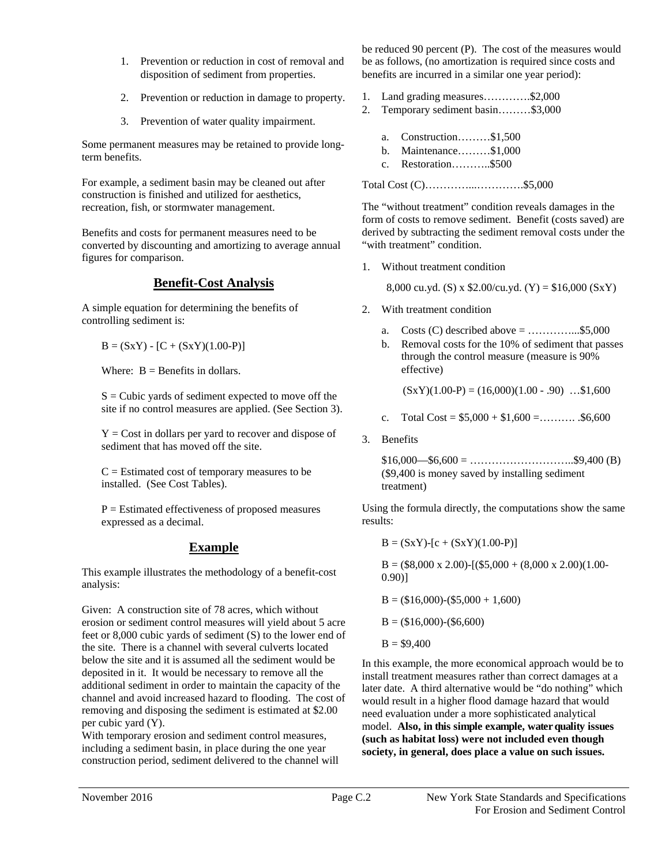- 1. Prevention or reduction in cost of removal and disposition of sediment from properties.
- 2. Prevention or reduction in damage to property.
- 3. Prevention of water quality impairment.

Some permanent measures may be retained to provide longterm benefits.

For example, a sediment basin may be cleaned out after construction is finished and utilized for aesthetics, recreation, fish, or stormwater management.

Benefits and costs for permanent measures need to be converted by discounting and amortizing to average annual figures for comparison.

#### **Benefit-Cost Analysis**

A simple equation for determining the benefits of controlling sediment is:

 $B = (SxY) - [C + (SxY)(1.00-P)]$ 

Where:  $B =$  Benefits in dollars.

 $S =$  Cubic yards of sediment expected to move off the site if no control measures are applied. (See Section 3).

 $Y = \text{Cost}$  in dollars per yard to recover and dispose of sediment that has moved off the site.

 installed. (See Cost Tables).  $C =$  Estimated cost of temporary measures to be

 $P =$  Estimated effectiveness of proposed measures expressed as a decimal.

#### **Example**

This example illustrates the methodology of a benefit-cost analysis:

 Given: A construction site of 78 acres, which without deposited in it. It would be necessary to remove all the per cubic yard (Y). erosion or sediment control measures will yield about 5 acre feet or 8,000 cubic yards of sediment (S) to the lower end of the site. There is a channel with several culverts located below the site and it is assumed all the sediment would be additional sediment in order to maintain the capacity of the channel and avoid increased hazard to flooding. The cost of removing and disposing the sediment is estimated at \$2.00

 With temporary erosion and sediment control measures, including a sediment basin, in place during the one year construction period, sediment delivered to the channel will

 be reduced 90 percent (P). The cost of the measures would be as follows, (no amortization is required since costs and benefits are incurred in a similar one year period):

- 1. Land grading measures............\$2,000
- 2.Temporary sediment basin………\$3,000
	- a. Construction………\$1,500
	- b. Maintenance………\$1,000
	- c. Restoration………..\$500

Total Cost (C)…………...………….\$5,000

The "without treatment" condition reveals damages in the form of costs to remove sediment. Benefit (costs saved) are derived by subtracting the sediment removal costs under the "with treatment" condition.

 1.Without treatment condition

8,000 cu.yd. (S) x  $$2.00/cu.yd.$  (Y) =  $$16,000$  (SxY)

- 2.With treatment condition
	- a. Costs (C) described above =  $\dots$ .............\$5,000
	- b. Removal costs for the 10% of sediment that passes through the control measure (measure is 90% effective)

 $(SXY)(1.00-P) = (16,000)(1.00 - .90)$  ...\$1,600

- c. Total Cost =  $$5,000 + $1,600 =$ .........  $$6,600$
- 3. Benefits

\$16,000—\$6,600 = ………………………..\$9,400 (B) (\$9,400 is money saved by installing sediment treatment)

Using the formula directly, the computations show the same results:

$$
B = (SxY) - [c + (SxY)(1.00-P)]
$$

 $B = (\$8,000 \times 2.00)$ -[(\$5,000 + (8,000 x 2.00)(1.00-0.90)]

 $B = (\$16,000)$ - $(\$5,000 + 1,600)$ 

 $B = (\$16,000)$ -(\$6,600)

 $B = $9,400$ 

In this example, the more economical approach would be to install treatment measures rather than correct damages at a later date. A third alternative would be "do nothing" which would result in a higher flood damage hazard that would need evaluation under a more sophisticated analytical model. **Also, in this simple example, water quality issues (such as habitat loss) were not included even though society, in general, does place a value on such issues.**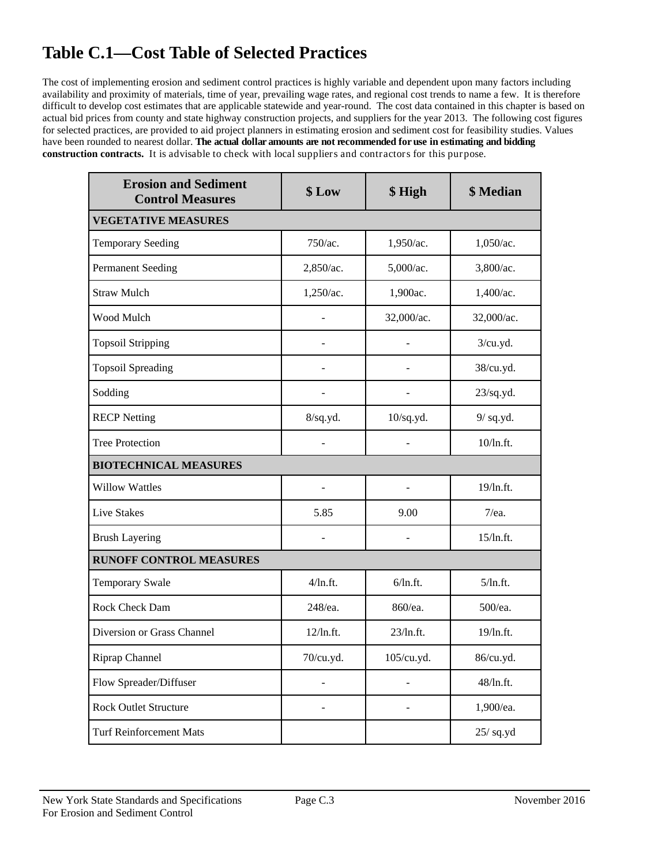## **Table C.1—Cost Table of Selected Practices**

The cost of implementing erosion and sediment control practices is highly variable and dependent upon many factors including availability and proximity of materials, time of year, prevailing wage rates, and regional cost trends to name a few. It is therefore difficult to develop cost estimates that are applicable statewide and year-round. The cost data contained in this chapter is based on actual bid prices from county and state highway construction projects, and suppliers for the year 2013. The following cost figures for selected practices, are provided to aid project planners in estimating erosion and sediment cost for feasibility studies. Values have been rounded to nearest dollar. **The actual dollar amounts are not recommended for use in estimating and bidding construction contracts.** It is advisable to check with local suppliers and contractors for this purpose.

| <b>Erosion and Sediment</b><br><b>Control Measures</b> | \$Low      | \$High     | \$ Median   |
|--------------------------------------------------------|------------|------------|-------------|
| <b>VEGETATIVE MEASURES</b>                             |            |            |             |
| <b>Temporary Seeding</b>                               | $750$ /ac. | 1,950/ac.  | 1,050/ac.   |
| <b>Permanent Seeding</b>                               | 2,850/ac.  | 5,000/ac.  | 3,800/ac.   |
| <b>Straw Mulch</b>                                     | 1,250/ac.  | 1,900ac.   | 1,400/ac.   |
| Wood Mulch                                             |            | 32,000/ac. | 32,000/ac.  |
| <b>Topsoil Stripping</b>                               |            |            | 3/cu.yd.    |
| <b>Topsoil Spreading</b>                               |            |            | 38/cu.yd.   |
| Sodding                                                |            |            | 23/sq.yd.   |
| <b>RECP Netting</b>                                    | 8/sq.yd.   | 10/sq.yd.  | 9/ sq.yd.   |
| <b>Tree Protection</b>                                 |            |            | 10/ln.ft.   |
| <b>BIOTECHNICAL MEASURES</b>                           |            |            |             |
| <b>Willow Wattles</b>                                  |            |            | 19/ln.ft.   |
| Live Stakes                                            | 5.85       | 9.00       | $7/ea$ .    |
| <b>Brush Layering</b>                                  |            |            | 15/ln.ft.   |
| <b>RUNOFF CONTROL MEASURES</b>                         |            |            |             |
| <b>Temporary Swale</b>                                 | 4/ln.ft.   | 6/ln.ft.   | 5/ln.ft.    |
| Rock Check Dam                                         | 248/ea.    | 860/ea.    | 500/ea.     |
| Diversion or Grass Channel                             | 12/ln.fit. | 23/ln.ft.  | 19/ln.ft.   |
| Riprap Channel                                         | 70/cu.yd.  | 105/cu.yd. | 86/cu.yd.   |
| Flow Spreader/Diffuser                                 |            |            | 48/ln.ft.   |
| <b>Rock Outlet Structure</b>                           |            |            | 1,900/ea.   |
| <b>Turf Reinforcement Mats</b>                         |            |            | $25/$ sq.yd |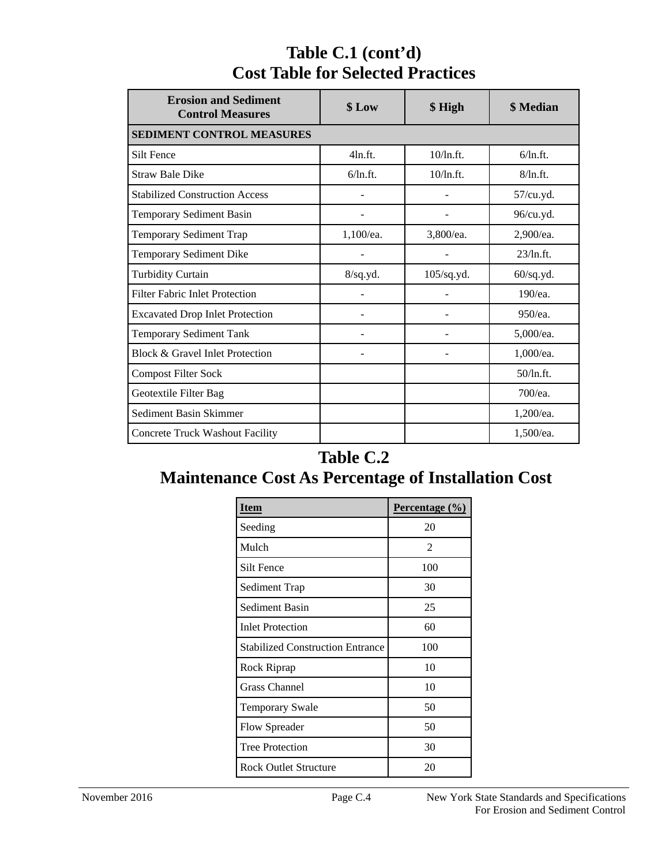| <b>Cost Table for Selected Practices</b>               |             |               |                  |  |  |
|--------------------------------------------------------|-------------|---------------|------------------|--|--|
| <b>Erosion and Sediment</b><br><b>Control Measures</b> | \$ Low      | \$High        | <b>\$ Median</b> |  |  |
| <b>SEDIMENT CONTROL MEASURES</b>                       |             |               |                  |  |  |
| <b>Silt Fence</b>                                      | 4ln.ft.     | $10/ln.ft$ .  | $6/ln.ft$ .      |  |  |
| <b>Straw Bale Dike</b>                                 | 6/ln.ft.    | $10$ /ln.ft.  | 8/ln.ft.         |  |  |
| <b>Stabilized Construction Access</b>                  |             |               | 57/cu.yd.        |  |  |
| Temporary Sediment Basin                               |             |               | 96/cu.yd.        |  |  |
| <b>Temporary Sediment Trap</b>                         | 1,100/ea.   | 3,800/ea.     | 2,900/ea.        |  |  |
| Temporary Sediment Dike                                |             |               | 23/ln.ft.        |  |  |
| <b>Turbidity Curtain</b>                               | $8$ /sq.yd. | $105$ /sq.yd. | 60/sq.yd.        |  |  |
| <b>Filter Fabric Inlet Protection</b>                  |             |               | $190$ /ea.       |  |  |
| <b>Excavated Drop Inlet Protection</b>                 |             |               | $950$ /ea.       |  |  |
| <b>Temporary Sediment Tank</b>                         |             |               | 5,000/ea.        |  |  |
| Block & Gravel Inlet Protection                        |             |               | $1,000$ /ea.     |  |  |
| <b>Compost Filter Sock</b>                             |             |               | $50/ln.ft$ .     |  |  |
| Geotextile Filter Bag                                  |             |               | 700/ea.          |  |  |
| Sediment Basin Skimmer                                 |             |               | $1,200$ /ea.     |  |  |
| <b>Concrete Truck Washout Facility</b>                 |             |               | 1,500/ea.        |  |  |

# **Table C.1 (cont'd)**

## **Table C.2**

# **Maintenance Cost As Percentage of Installation Cost**

| Item                                    | Percentage (%) |
|-----------------------------------------|----------------|
| Seeding                                 | 20             |
| Mulch                                   | $\overline{2}$ |
| <b>Silt Fence</b>                       | 100            |
| <b>Sediment Trap</b>                    | 30             |
| <b>Sediment Basin</b>                   | 25             |
| <b>Inlet Protection</b>                 | 60             |
| <b>Stabilized Construction Entrance</b> | 100            |
| Rock Riprap                             | 10             |
| <b>Grass Channel</b>                    | 10             |
| <b>Temporary Swale</b>                  | 50             |
| Flow Spreader                           | 50             |
| <b>Tree Protection</b>                  | 30             |
| <b>Rock Outlet Structure</b>            | 20             |